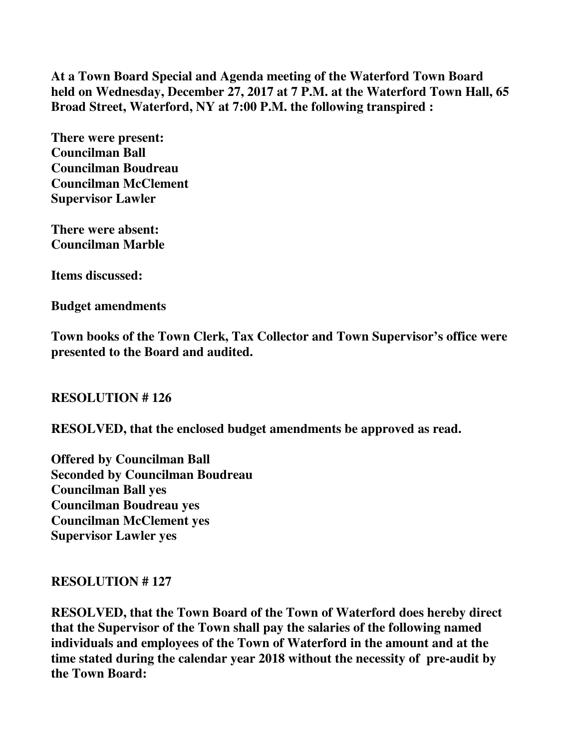**At a Town Board Special and Agenda meeting of the Waterford Town Board held on Wednesday, December 27, 2017 at 7 P.M. at the Waterford Town Hall, 65 Broad Street, Waterford, NY at 7:00 P.M. the following transpired :** 

**There were present: Councilman Ball Councilman Boudreau Councilman McClement Supervisor Lawler** 

**There were absent: Councilman Marble** 

**Items discussed:** 

**Budget amendments** 

**Town books of the Town Clerk, Tax Collector and Town Supervisor's office were presented to the Board and audited.** 

# **RESOLUTION # 126**

**RESOLVED, that the enclosed budget amendments be approved as read.** 

**Offered by Councilman Ball Seconded by Councilman Boudreau Councilman Ball yes Councilman Boudreau yes Councilman McClement yes Supervisor Lawler yes** 

# **RESOLUTION # 127**

**RESOLVED, that the Town Board of the Town of Waterford does hereby direct that the Supervisor of the Town shall pay the salaries of the following named individuals and employees of the Town of Waterford in the amount and at the time stated during the calendar year 2018 without the necessity of pre-audit by the Town Board:**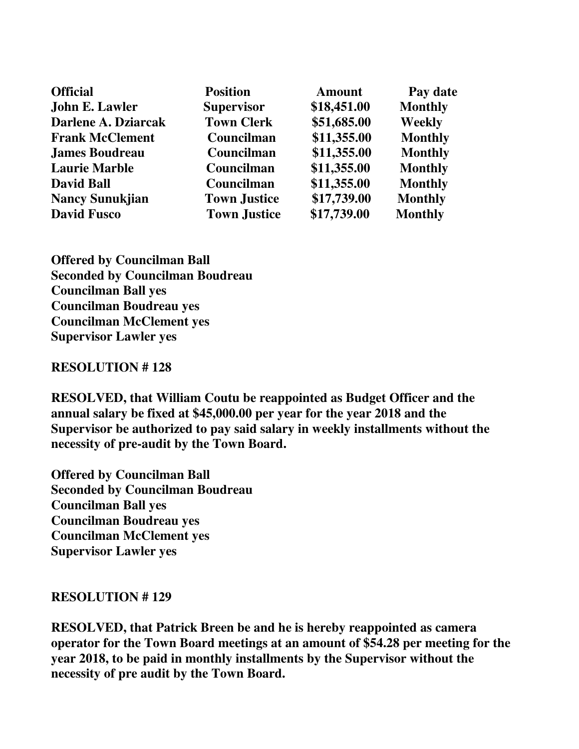| <b>Official</b>        | <b>Position</b>     | <b>Amount</b> | Pay date       |
|------------------------|---------------------|---------------|----------------|
| John E. Lawler         | <b>Supervisor</b>   | \$18,451.00   | <b>Monthly</b> |
| Darlene A. Dziarcak    | <b>Town Clerk</b>   | \$51,685.00   | <b>Weekly</b>  |
| <b>Frank McClement</b> | Councilman          | \$11,355.00   | <b>Monthly</b> |
| <b>James Boudreau</b>  | Councilman          | \$11,355.00   | <b>Monthly</b> |
| <b>Laurie Marble</b>   | Councilman          | \$11,355.00   | <b>Monthly</b> |
| <b>David Ball</b>      | Councilman          | \$11,355.00   | <b>Monthly</b> |
| <b>Nancy Sunukjian</b> | <b>Town Justice</b> | \$17,739.00   | <b>Monthly</b> |
| <b>David Fusco</b>     | <b>Town Justice</b> | \$17,739.00   | <b>Monthly</b> |

**Offered by Councilman Ball Seconded by Councilman Boudreau Councilman Ball yes Councilman Boudreau yes Councilman McClement yes Supervisor Lawler yes** 

#### **RESOLUTION # 128**

**RESOLVED, that William Coutu be reappointed as Budget Officer and the annual salary be fixed at \$45,000.00 per year for the year 2018 and the Supervisor be authorized to pay said salary in weekly installments without the necessity of pre-audit by the Town Board.** 

**Offered by Councilman Ball Seconded by Councilman Boudreau Councilman Ball yes Councilman Boudreau yes Councilman McClement yes Supervisor Lawler yes** 

#### **RESOLUTION # 129**

**RESOLVED, that Patrick Breen be and he is hereby reappointed as camera operator for the Town Board meetings at an amount of \$54.28 per meeting for the year 2018, to be paid in monthly installments by the Supervisor without the necessity of pre audit by the Town Board.**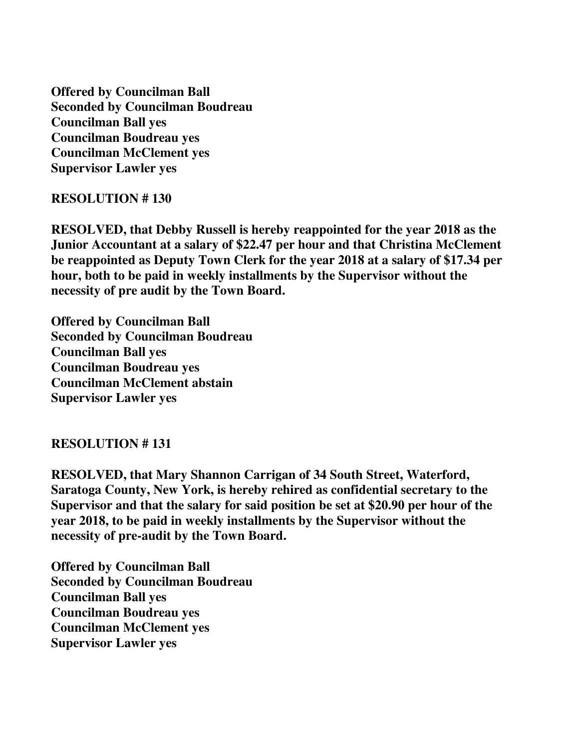**Offered by Councilman Ball Seconded by Councilman Boudreau Councilman Ball yes Councilman Boudreau yes Councilman McClement yes Supervisor Lawler yes** 

### **RESOLUTION # 130**

**RESOLVED, that Debby Russell is hereby reappointed for the year 2018 as the Junior Accountant at a salary of \$22.47 per hour and that Christina McClement be reappointed as Deputy Town Clerk for the year 2018 at a salary of \$17.34 per hour, both to be paid in weekly installments by the Supervisor without the necessity of pre audit by the Town Board.** 

**Offered by Councilman Ball Seconded by Councilman Boudreau Councilman Ball yes Councilman Boudreau yes Councilman McClement abstain Supervisor Lawler yes** 

## **RESOLUTION # 131**

**RESOLVED, that Mary Shannon Carrigan of 34 South Street, Waterford, Saratoga County, New York, is hereby rehired as confidential secretary to the Supervisor and that the salary for said position be set at \$20.90 per hour of the year 2018, to be paid in weekly installments by the Supervisor without the necessity of pre-audit by the Town Board.** 

**Offered by Councilman Ball Seconded by Councilman Boudreau Councilman Ball yes Councilman Boudreau yes Councilman McClement yes Supervisor Lawler yes**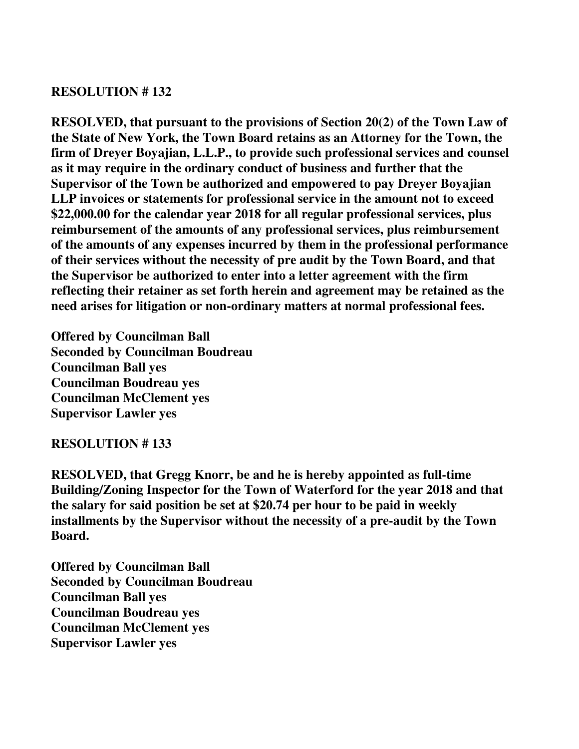## **RESOLUTION # 132**

**RESOLVED, that pursuant to the provisions of Section 20(2) of the Town Law of the State of New York, the Town Board retains as an Attorney for the Town, the firm of Dreyer Boyajian, L.L.P., to provide such professional services and counsel as it may require in the ordinary conduct of business and further that the Supervisor of the Town be authorized and empowered to pay Dreyer Boyajian LLP invoices or statements for professional service in the amount not to exceed \$22,000.00 for the calendar year 2018 for all regular professional services, plus reimbursement of the amounts of any professional services, plus reimbursement of the amounts of any expenses incurred by them in the professional performance of their services without the necessity of pre audit by the Town Board, and that the Supervisor be authorized to enter into a letter agreement with the firm reflecting their retainer as set forth herein and agreement may be retained as the need arises for litigation or non-ordinary matters at normal professional fees.** 

**Offered by Councilman Ball Seconded by Councilman Boudreau Councilman Ball yes Councilman Boudreau yes Councilman McClement yes Supervisor Lawler yes** 

# **RESOLUTION # 133**

**RESOLVED, that Gregg Knorr, be and he is hereby appointed as full-time Building/Zoning Inspector for the Town of Waterford for the year 2018 and that the salary for said position be set at \$20.74 per hour to be paid in weekly installments by the Supervisor without the necessity of a pre-audit by the Town Board.** 

**Offered by Councilman Ball Seconded by Councilman Boudreau Councilman Ball yes Councilman Boudreau yes Councilman McClement yes Supervisor Lawler yes**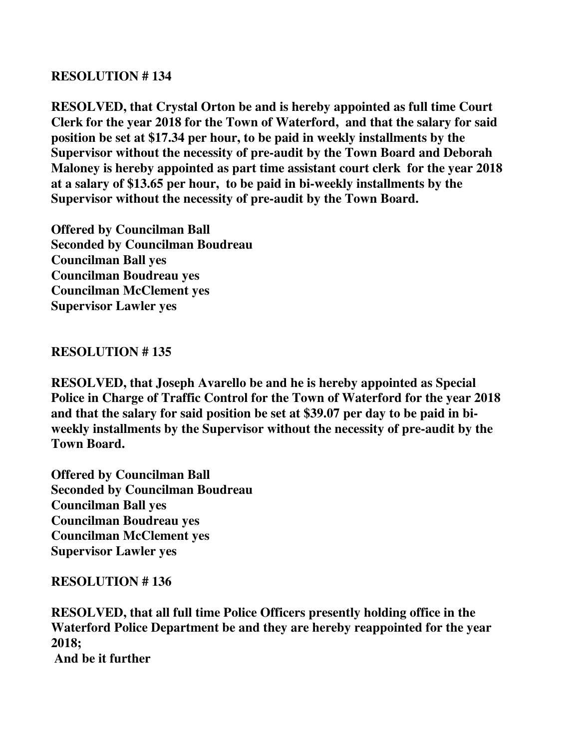## **RESOLUTION # 134**

**RESOLVED, that Crystal Orton be and is hereby appointed as full time Court Clerk for the year 2018 for the Town of Waterford, and that the salary for said position be set at \$17.34 per hour, to be paid in weekly installments by the Supervisor without the necessity of pre-audit by the Town Board and Deborah Maloney is hereby appointed as part time assistant court clerk for the year 2018 at a salary of \$13.65 per hour, to be paid in bi-weekly installments by the Supervisor without the necessity of pre-audit by the Town Board.** 

**Offered by Councilman Ball Seconded by Councilman Boudreau Councilman Ball yes Councilman Boudreau yes Councilman McClement yes Supervisor Lawler yes** 

## **RESOLUTION # 135**

**RESOLVED, that Joseph Avarello be and he is hereby appointed as Special Police in Charge of Traffic Control for the Town of Waterford for the year 2018 and that the salary for said position be set at \$39.07 per day to be paid in biweekly installments by the Supervisor without the necessity of pre-audit by the Town Board.** 

**Offered by Councilman Ball Seconded by Councilman Boudreau Councilman Ball yes Councilman Boudreau yes Councilman McClement yes Supervisor Lawler yes** 

# **RESOLUTION # 136**

**RESOLVED, that all full time Police Officers presently holding office in the Waterford Police Department be and they are hereby reappointed for the year 2018; And be it further**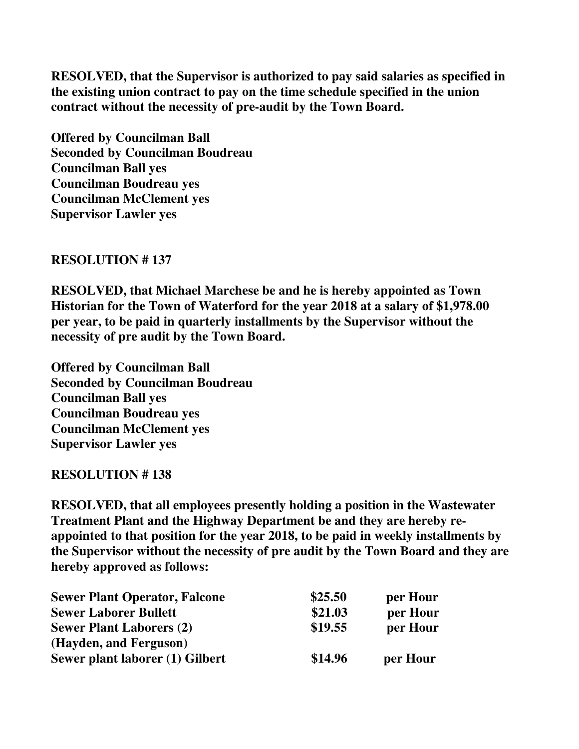**RESOLVED, that the Supervisor is authorized to pay said salaries as specified in the existing union contract to pay on the time schedule specified in the union contract without the necessity of pre-audit by the Town Board.** 

**Offered by Councilman Ball Seconded by Councilman Boudreau Councilman Ball yes Councilman Boudreau yes Councilman McClement yes Supervisor Lawler yes** 

## **RESOLUTION # 137**

**RESOLVED, that Michael Marchese be and he is hereby appointed as Town Historian for the Town of Waterford for the year 2018 at a salary of \$1,978.00 per year, to be paid in quarterly installments by the Supervisor without the necessity of pre audit by the Town Board.** 

**Offered by Councilman Ball Seconded by Councilman Boudreau Councilman Ball yes Councilman Boudreau yes Councilman McClement yes Supervisor Lawler yes** 

## **RESOLUTION # 138**

**RESOLVED, that all employees presently holding a position in the Wastewater Treatment Plant and the Highway Department be and they are hereby reappointed to that position for the year 2018, to be paid in weekly installments by the Supervisor without the necessity of pre audit by the Town Board and they are hereby approved as follows:** 

| <b>Sewer Plant Operator, Falcone</b> | \$25.50 | per Hour |
|--------------------------------------|---------|----------|
| <b>Sewer Laborer Bullett</b>         | \$21.03 | per Hour |
| <b>Sewer Plant Laborers (2)</b>      | \$19.55 | per Hour |
| (Hayden, and Ferguson)               |         |          |
| Sewer plant laborer (1) Gilbert      | \$14.96 | per Hour |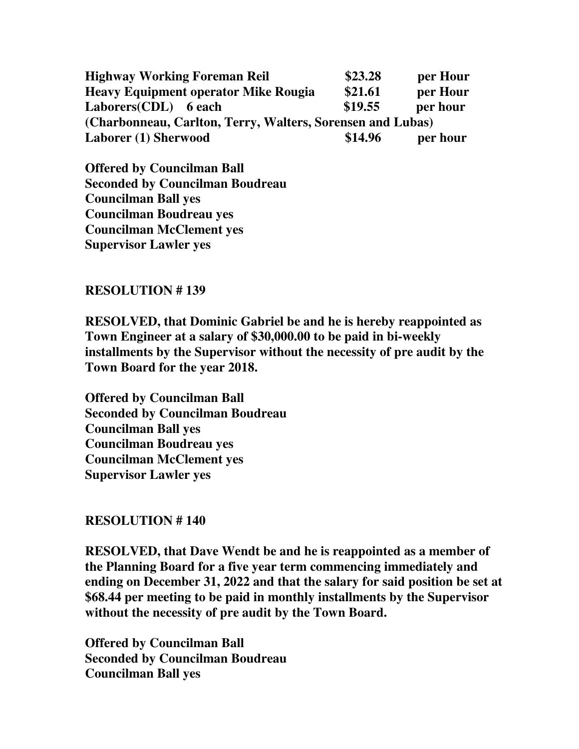**Highway Working Foreman Reil \$23.28 per Hour Heavy Equipment operator Mike Rougia \$21.61 per Hour**  Laborers(CDL) 6 each \$19.55 per hour **(Charbonneau, Carlton, Terry, Walters, Sorensen and Lubas)**  Laborer (1) Sherwood **\$14.96** per hour

**Offered by Councilman Ball Seconded by Councilman Boudreau Councilman Ball yes Councilman Boudreau yes Councilman McClement yes Supervisor Lawler yes** 

## **RESOLUTION # 139**

**RESOLVED, that Dominic Gabriel be and he is hereby reappointed as Town Engineer at a salary of \$30,000.00 to be paid in bi-weekly installments by the Supervisor without the necessity of pre audit by the Town Board for the year 2018.** 

**Offered by Councilman Ball Seconded by Councilman Boudreau Councilman Ball yes Councilman Boudreau yes Councilman McClement yes Supervisor Lawler yes** 

## **RESOLUTION # 140**

**RESOLVED, that Dave Wendt be and he is reappointed as a member of the Planning Board for a five year term commencing immediately and ending on December 31, 2022 and that the salary for said position be set at \$68.44 per meeting to be paid in monthly installments by the Supervisor without the necessity of pre audit by the Town Board.** 

**Offered by Councilman Ball Seconded by Councilman Boudreau Councilman Ball yes**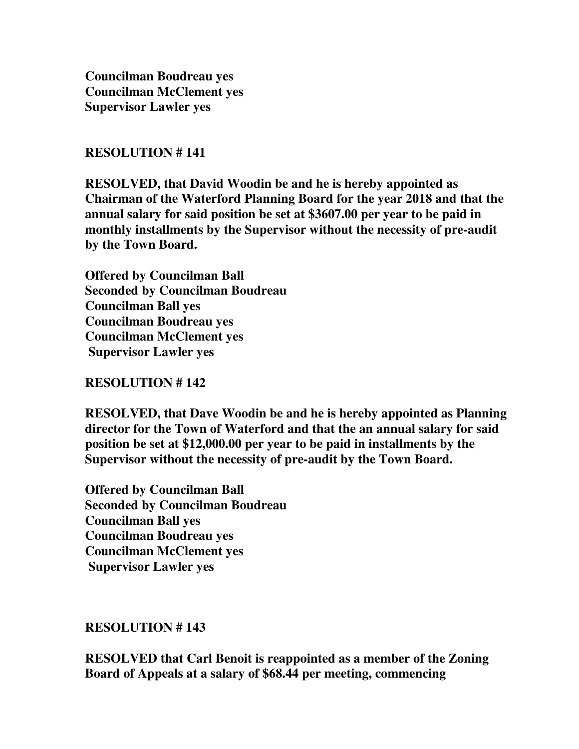**Councilman Boudreau yes Councilman McClement yes Supervisor Lawler yes** 

## **RESOLUTION # 141**

**RESOLVED, that David Woodin be and he is hereby appointed as Chairman of the Waterford Planning Board for the year 2018 and that the annual salary for said position be set at \$3607.00 per year to be paid in monthly installments by the Supervisor without the necessity of pre-audit by the Town Board.** 

**Offered by Councilman Ball Seconded by Councilman Boudreau Councilman Ball yes Councilman Boudreau yes Councilman McClement yes Supervisor Lawler yes** 

## **RESOLUTION # 142**

**RESOLVED, that Dave Woodin be and he is hereby appointed as Planning director for the Town of Waterford and that the an annual salary for said position be set at \$12,000.00 per year to be paid in installments by the Supervisor without the necessity of pre-audit by the Town Board.** 

**Offered by Councilman Ball Seconded by Councilman Boudreau Councilman Ball yes Councilman Boudreau yes Councilman McClement yes Supervisor Lawler yes** 

## **RESOLUTION # 143**

**RESOLVED that Carl Benoit is reappointed as a member of the Zoning Board of Appeals at a salary of \$68.44 per meeting, commencing**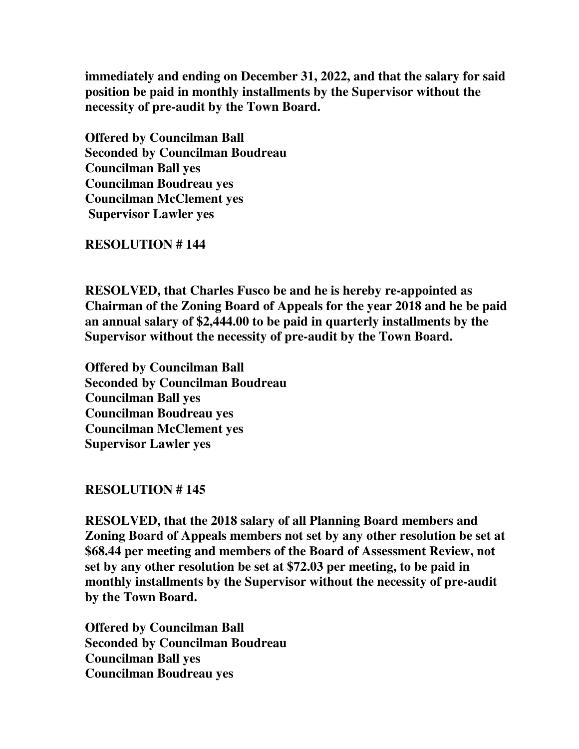**immediately and ending on December 31, 2022, and that the salary for said position be paid in monthly installments by the Supervisor without the necessity of pre-audit by the Town Board.** 

**Offered by Councilman Ball Seconded by Councilman Boudreau Councilman Ball yes Councilman Boudreau yes Councilman McClement yes Supervisor Lawler yes** 

**RESOLUTION # 144** 

**RESOLVED, that Charles Fusco be and he is hereby re-appointed as Chairman of the Zoning Board of Appeals for the year 2018 and he be paid an annual salary of \$2,444.00 to be paid in quarterly installments by the Supervisor without the necessity of pre-audit by the Town Board.** 

**Offered by Councilman Ball Seconded by Councilman Boudreau Councilman Ball yes Councilman Boudreau yes Councilman McClement yes Supervisor Lawler yes** 

## **RESOLUTION # 145**

**RESOLVED, that the 2018 salary of all Planning Board members and Zoning Board of Appeals members not set by any other resolution be set at \$68.44 per meeting and members of the Board of Assessment Review, not set by any other resolution be set at \$72.03 per meeting, to be paid in monthly installments by the Supervisor without the necessity of pre-audit by the Town Board.**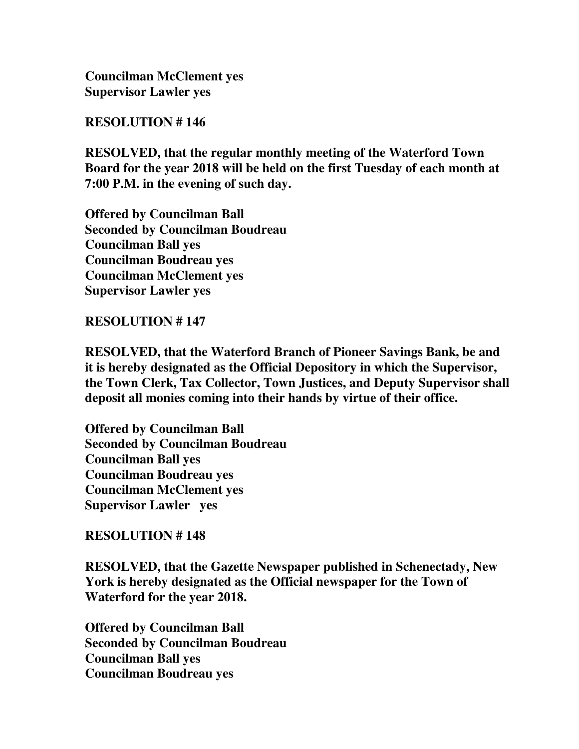**RESOLUTION # 146** 

**RESOLVED, that the regular monthly meeting of the Waterford Town Board for the year 2018 will be held on the first Tuesday of each month at 7:00 P.M. in the evening of such day.** 

**Offered by Councilman Ball Seconded by Councilman Boudreau Councilman Ball yes Councilman Boudreau yes Councilman McClement yes Supervisor Lawler yes** 

**RESOLUTION # 147** 

**RESOLVED, that the Waterford Branch of Pioneer Savings Bank, be and it is hereby designated as the Official Depository in which the Supervisor, the Town Clerk, Tax Collector, Town Justices, and Deputy Supervisor shall deposit all monies coming into their hands by virtue of their office.** 

**Offered by Councilman Ball Seconded by Councilman Boudreau Councilman Ball yes Councilman Boudreau yes Councilman McClement yes Supervisor Lawler yes** 

# **RESOLUTION # 148**

**RESOLVED, that the Gazette Newspaper published in Schenectady, New York is hereby designated as the Official newspaper for the Town of Waterford for the year 2018.**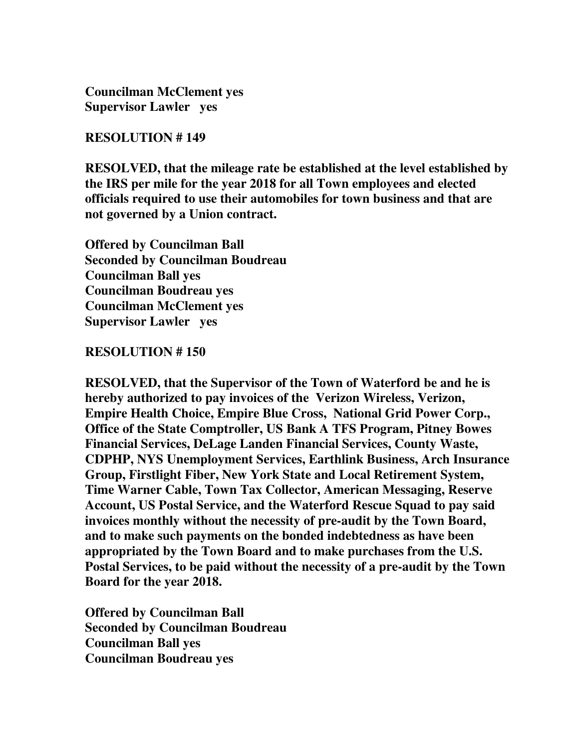#### **RESOLUTION # 149**

**RESOLVED, that the mileage rate be established at the level established by the IRS per mile for the year 2018 for all Town employees and elected officials required to use their automobiles for town business and that are not governed by a Union contract.** 

**Offered by Councilman Ball Seconded by Councilman Boudreau Councilman Ball yes Councilman Boudreau yes Councilman McClement yes Supervisor Lawler yes** 

### **RESOLUTION # 150**

**RESOLVED, that the Supervisor of the Town of Waterford be and he is hereby authorized to pay invoices of the Verizon Wireless, Verizon, Empire Health Choice, Empire Blue Cross, National Grid Power Corp., Office of the State Comptroller, US Bank A TFS Program, Pitney Bowes Financial Services, DeLage Landen Financial Services, County Waste, CDPHP, NYS Unemployment Services, Earthlink Business, Arch Insurance Group, Firstlight Fiber, New York State and Local Retirement System, Time Warner Cable, Town Tax Collector, American Messaging, Reserve Account, US Postal Service, and the Waterford Rescue Squad to pay said invoices monthly without the necessity of pre-audit by the Town Board, and to make such payments on the bonded indebtedness as have been appropriated by the Town Board and to make purchases from the U.S. Postal Services, to be paid without the necessity of a pre-audit by the Town Board for the year 2018.**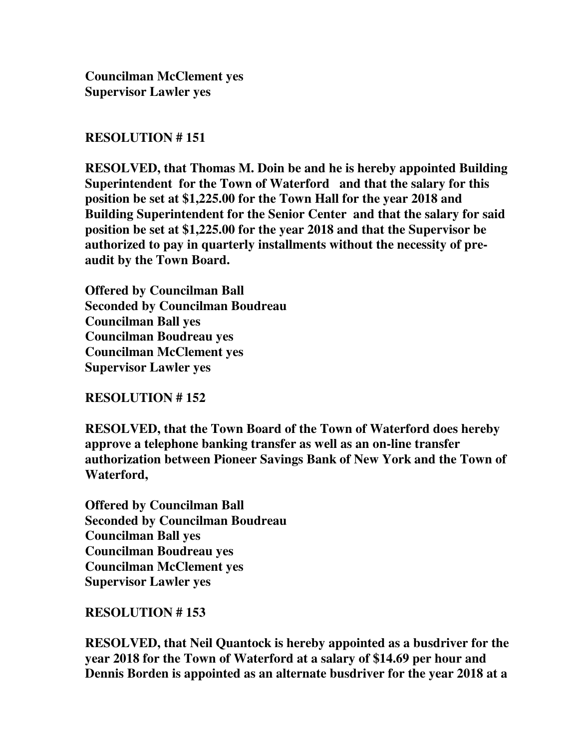### **RESOLUTION # 151**

**RESOLVED, that Thomas M. Doin be and he is hereby appointed Building Superintendent for the Town of Waterford and that the salary for this position be set at \$1,225.00 for the Town Hall for the year 2018 and Building Superintendent for the Senior Center and that the salary for said position be set at \$1,225.00 for the year 2018 and that the Supervisor be authorized to pay in quarterly installments without the necessity of preaudit by the Town Board.** 

**Offered by Councilman Ball Seconded by Councilman Boudreau Councilman Ball yes Councilman Boudreau yes Councilman McClement yes Supervisor Lawler yes** 

## **RESOLUTION # 152**

**RESOLVED, that the Town Board of the Town of Waterford does hereby approve a telephone banking transfer as well as an on-line transfer authorization between Pioneer Savings Bank of New York and the Town of Waterford,** 

**Offered by Councilman Ball Seconded by Councilman Boudreau Councilman Ball yes Councilman Boudreau yes Councilman McClement yes Supervisor Lawler yes** 

## **RESOLUTION # 153**

**RESOLVED, that Neil Quantock is hereby appointed as a busdriver for the year 2018 for the Town of Waterford at a salary of \$14.69 per hour and Dennis Borden is appointed as an alternate busdriver for the year 2018 at a**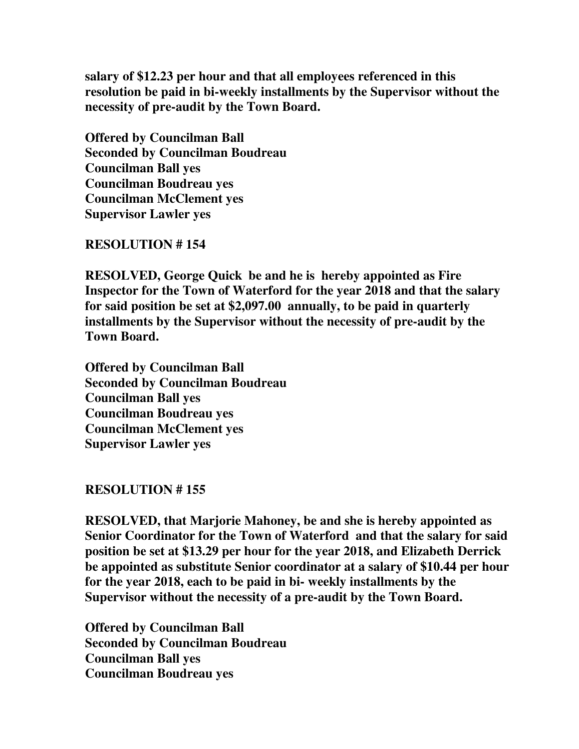**salary of \$12.23 per hour and that all employees referenced in this resolution be paid in bi-weekly installments by the Supervisor without the necessity of pre-audit by the Town Board.** 

**Offered by Councilman Ball Seconded by Councilman Boudreau Councilman Ball yes Councilman Boudreau yes Councilman McClement yes Supervisor Lawler yes** 

**RESOLUTION # 154** 

**RESOLVED, George Quick be and he is hereby appointed as Fire Inspector for the Town of Waterford for the year 2018 and that the salary for said position be set at \$2,097.00 annually, to be paid in quarterly installments by the Supervisor without the necessity of pre-audit by the Town Board.** 

**Offered by Councilman Ball Seconded by Councilman Boudreau Councilman Ball yes Councilman Boudreau yes Councilman McClement yes Supervisor Lawler yes** 

# **RESOLUTION # 155**

**RESOLVED, that Marjorie Mahoney, be and she is hereby appointed as Senior Coordinator for the Town of Waterford and that the salary for said position be set at \$13.29 per hour for the year 2018, and Elizabeth Derrick be appointed as substitute Senior coordinator at a salary of \$10.44 per hour for the year 2018, each to be paid in bi- weekly installments by the Supervisor without the necessity of a pre-audit by the Town Board.**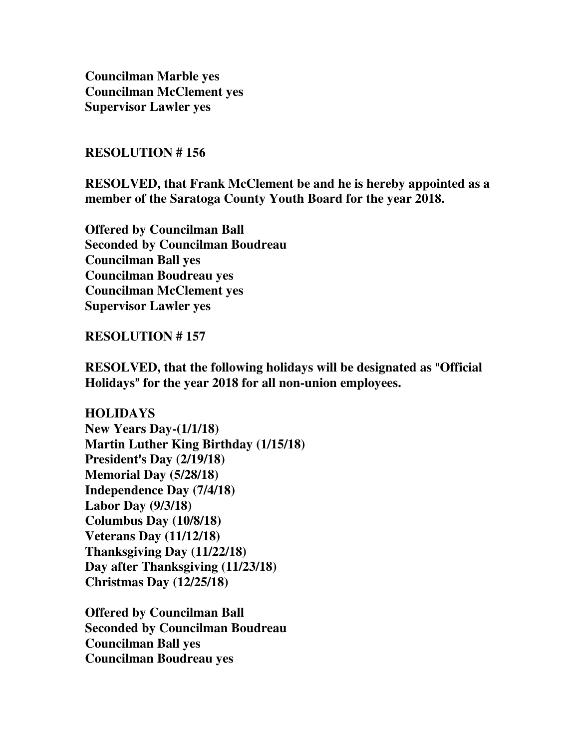**Councilman Marble yes Councilman McClement yes Supervisor Lawler yes** 

#### **RESOLUTION # 156**

**RESOLVED, that Frank McClement be and he is hereby appointed as a member of the Saratoga County Youth Board for the year 2018.** 

**Offered by Councilman Ball Seconded by Councilman Boudreau Councilman Ball yes Councilman Boudreau yes Councilman McClement yes Supervisor Lawler yes** 

#### **RESOLUTION # 157**

**RESOLVED, that the following holidays will be designated as "Official <b>Res** Holidays" for the year 2018 for all non-union employees.

**HOLIDAYS New Years Day-(1/1/18) Martin Luther King Birthday (1/15/18) President**=**s Day (2/19/18) Memorial Day (5/28/18) Independence Day (7/4/18) Labor Day (9/3/18) Columbus Day (10/8/18) Veterans Day (11/12/18) Thanksgiving Day (11/22/18) Day after Thanksgiving (11/23/18) Christmas Day (12/25/18)**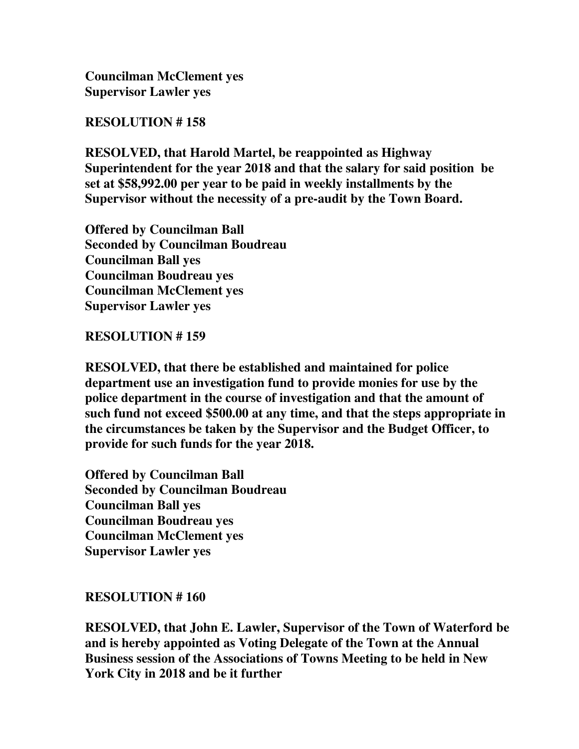## **RESOLUTION # 158**

**RESOLVED, that Harold Martel, be reappointed as Highway Superintendent for the year 2018 and that the salary for said position be set at \$58,992.00 per year to be paid in weekly installments by the Supervisor without the necessity of a pre-audit by the Town Board.** 

**Offered by Councilman Ball Seconded by Councilman Boudreau Councilman Ball yes Councilman Boudreau yes Councilman McClement yes Supervisor Lawler yes** 

## **RESOLUTION # 159**

**RESOLVED, that there be established and maintained for police department use an investigation fund to provide monies for use by the police department in the course of investigation and that the amount of such fund not exceed \$500.00 at any time, and that the steps appropriate in the circumstances be taken by the Supervisor and the Budget Officer, to provide for such funds for the year 2018.** 

**Offered by Councilman Ball Seconded by Councilman Boudreau Councilman Ball yes Councilman Boudreau yes Councilman McClement yes Supervisor Lawler yes** 

# **RESOLUTION # 160**

**RESOLVED, that John E. Lawler, Supervisor of the Town of Waterford be and is hereby appointed as Voting Delegate of the Town at the Annual Business session of the Associations of Towns Meeting to be held in New York City in 2018 and be it further**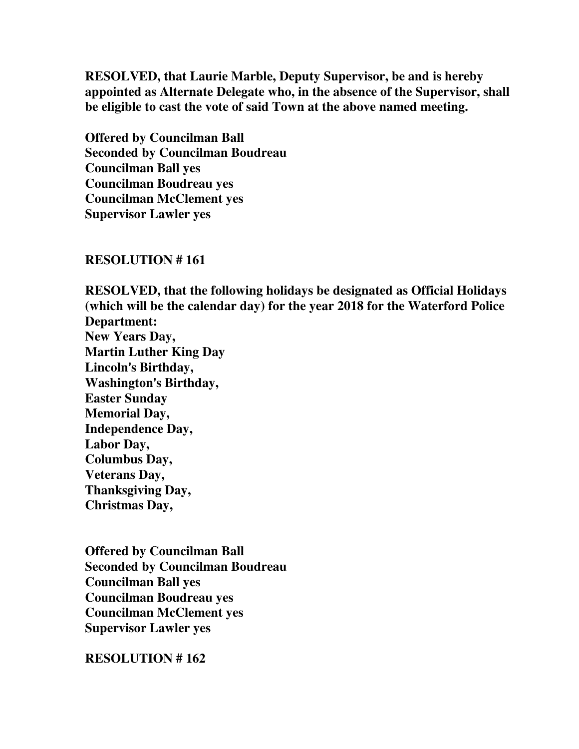**RESOLVED, that Laurie Marble, Deputy Supervisor, be and is hereby appointed as Alternate Delegate who, in the absence of the Supervisor, shall be eligible to cast the vote of said Town at the above named meeting.** 

**Offered by Councilman Ball Seconded by Councilman Boudreau Councilman Ball yes Councilman Boudreau yes Councilman McClement yes Supervisor Lawler yes** 

#### **RESOLUTION # 161**

**RESOLVED, that the following holidays be designated as Official Holidays (which will be the calendar day) for the year 2018 for the Waterford Police Department: New Years Day, Martin Luther King Day**  Lincoln's Birthday, **Washington**=**s Birthday, Easter Sunday Memorial Day, Independence Day, Labor Day, Columbus Day, Veterans Day, Thanksgiving Day, Christmas Day,** 

**Offered by Councilman Ball Seconded by Councilman Boudreau Councilman Ball yes Councilman Boudreau yes Councilman McClement yes Supervisor Lawler yes** 

**RESOLUTION # 162**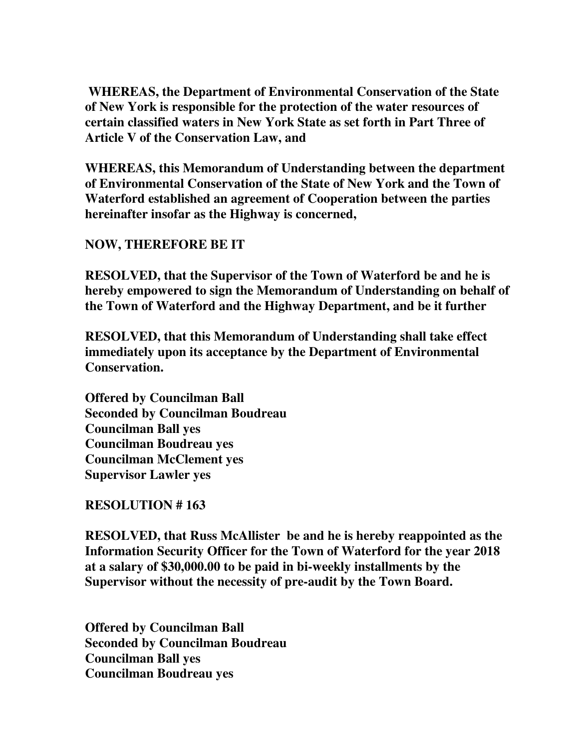**WHEREAS, the Department of Environmental Conservation of the State of New York is responsible for the protection of the water resources of certain classified waters in New York State as set forth in Part Three of Article V of the Conservation Law, and** 

**WHEREAS, this Memorandum of Understanding between the department of Environmental Conservation of the State of New York and the Town of Waterford established an agreement of Cooperation between the parties hereinafter insofar as the Highway is concerned,** 

**NOW, THEREFORE BE IT** 

**RESOLVED, that the Supervisor of the Town of Waterford be and he is hereby empowered to sign the Memorandum of Understanding on behalf of the Town of Waterford and the Highway Department, and be it further** 

**RESOLVED, that this Memorandum of Understanding shall take effect immediately upon its acceptance by the Department of Environmental Conservation.** 

**Offered by Councilman Ball Seconded by Councilman Boudreau Councilman Ball yes Councilman Boudreau yes Councilman McClement yes Supervisor Lawler yes** 

**RESOLUTION # 163** 

**RESOLVED, that Russ McAllister be and he is hereby reappointed as the Information Security Officer for the Town of Waterford for the year 2018 at a salary of \$30,000.00 to be paid in bi-weekly installments by the Supervisor without the necessity of pre-audit by the Town Board.**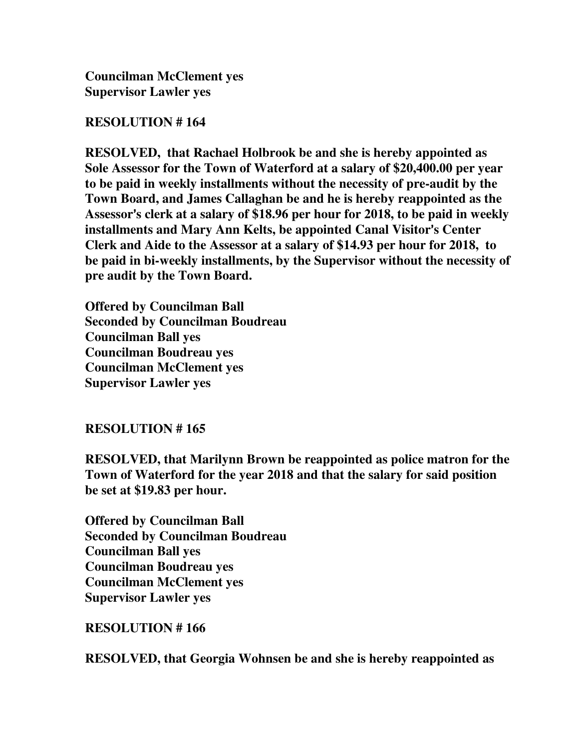## **RESOLUTION # 164**

**RESOLVED, that Rachael Holbrook be and she is hereby appointed as Sole Assessor for the Town of Waterford at a salary of \$20,400.00 per year to be paid in weekly installments without the necessity of pre-audit by the Town Board, and James Callaghan be and he is hereby reappointed as the**  Assessor's clerk at a salary of \$18.96 per hour for 2018, to be paid in weekly **installments and Mary Ann Kelts, be appointed Canal Visitor's Center Clerk and Aide to the Assessor at a salary of \$14.93 per hour for 2018, to be paid in bi-weekly installments, by the Supervisor without the necessity of pre audit by the Town Board.** 

**Offered by Councilman Ball Seconded by Councilman Boudreau Councilman Ball yes Councilman Boudreau yes Councilman McClement yes Supervisor Lawler yes** 

# **RESOLUTION # 165**

**RESOLVED, that Marilynn Brown be reappointed as police matron for the Town of Waterford for the year 2018 and that the salary for said position be set at \$19.83 per hour.** 

**Offered by Councilman Ball Seconded by Councilman Boudreau Councilman Ball yes Councilman Boudreau yes Councilman McClement yes Supervisor Lawler yes** 

**RESOLUTION # 166** 

**RESOLVED, that Georgia Wohnsen be and she is hereby reappointed as**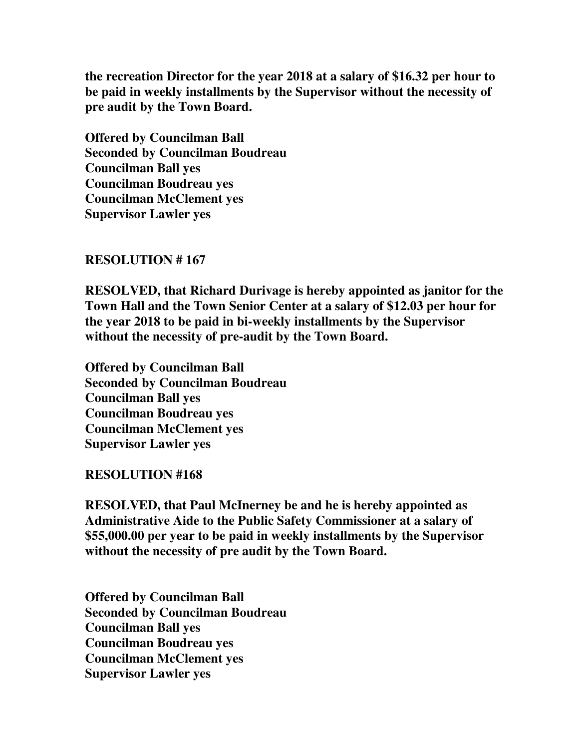**the recreation Director for the year 2018 at a salary of \$16.32 per hour to be paid in weekly installments by the Supervisor without the necessity of pre audit by the Town Board.** 

**Offered by Councilman Ball Seconded by Councilman Boudreau Councilman Ball yes Councilman Boudreau yes Councilman McClement yes Supervisor Lawler yes** 

## **RESOLUTION # 167**

**RESOLVED, that Richard Durivage is hereby appointed as janitor for the Town Hall and the Town Senior Center at a salary of \$12.03 per hour for the year 2018 to be paid in bi-weekly installments by the Supervisor without the necessity of pre-audit by the Town Board.** 

**Offered by Councilman Ball Seconded by Councilman Boudreau Councilman Ball yes Councilman Boudreau yes Councilman McClement yes Supervisor Lawler yes** 

## **RESOLUTION #168**

**RESOLVED, that Paul McInerney be and he is hereby appointed as Administrative Aide to the Public Safety Commissioner at a salary of \$55,000.00 per year to be paid in weekly installments by the Supervisor without the necessity of pre audit by the Town Board.** 

**Offered by Councilman Ball Seconded by Councilman Boudreau Councilman Ball yes Councilman Boudreau yes Councilman McClement yes Supervisor Lawler yes**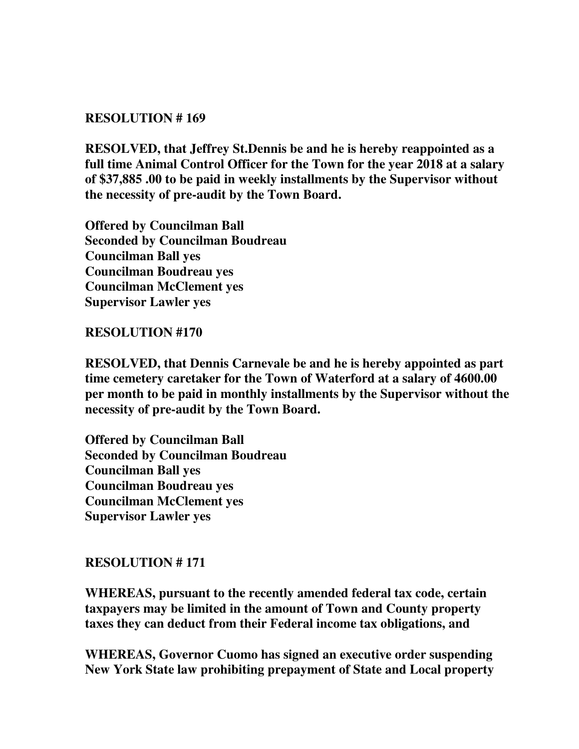## **RESOLUTION # 169**

**RESOLVED, that Jeffrey St.Dennis be and he is hereby reappointed as a full time Animal Control Officer for the Town for the year 2018 at a salary of \$37,885 .00 to be paid in weekly installments by the Supervisor without the necessity of pre-audit by the Town Board.** 

**Offered by Councilman Ball Seconded by Councilman Boudreau Councilman Ball yes Councilman Boudreau yes Councilman McClement yes Supervisor Lawler yes** 

## **RESOLUTION #170**

**RESOLVED, that Dennis Carnevale be and he is hereby appointed as part time cemetery caretaker for the Town of Waterford at a salary of 4600.00 per month to be paid in monthly installments by the Supervisor without the necessity of pre-audit by the Town Board.** 

**Offered by Councilman Ball Seconded by Councilman Boudreau Councilman Ball yes Councilman Boudreau yes Councilman McClement yes Supervisor Lawler yes** 

## **RESOLUTION # 171**

**WHEREAS, pursuant to the recently amended federal tax code, certain taxpayers may be limited in the amount of Town and County property taxes they can deduct from their Federal income tax obligations, and** 

**WHEREAS, Governor Cuomo has signed an executive order suspending New York State law prohibiting prepayment of State and Local property**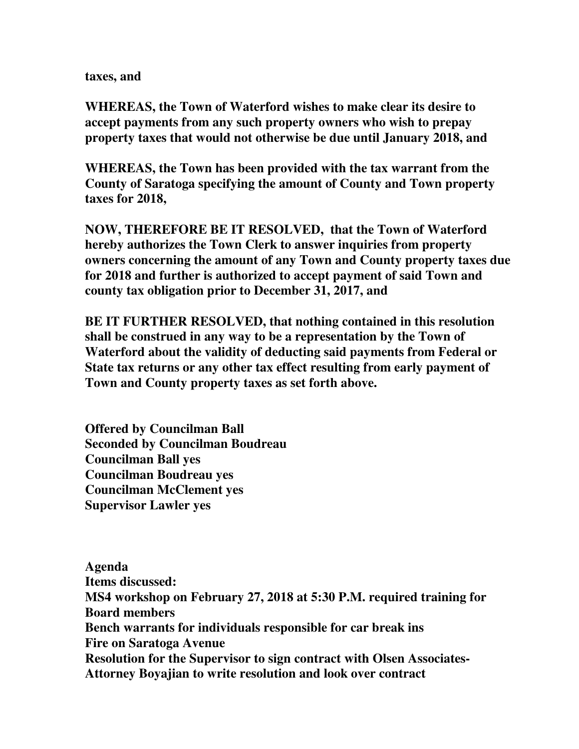### **taxes, and**

**WHEREAS, the Town of Waterford wishes to make clear its desire to accept payments from any such property owners who wish to prepay property taxes that would not otherwise be due until January 2018, and** 

**WHEREAS, the Town has been provided with the tax warrant from the County of Saratoga specifying the amount of County and Town property taxes for 2018,** 

**NOW, THEREFORE BE IT RESOLVED, that the Town of Waterford hereby authorizes the Town Clerk to answer inquiries from property owners concerning the amount of any Town and County property taxes due for 2018 and further is authorized to accept payment of said Town and county tax obligation prior to December 31, 2017, and** 

**BE IT FURTHER RESOLVED, that nothing contained in this resolution shall be construed in any way to be a representation by the Town of Waterford about the validity of deducting said payments from Federal or State tax returns or any other tax effect resulting from early payment of Town and County property taxes as set forth above.** 

**Offered by Councilman Ball Seconded by Councilman Boudreau Councilman Ball yes Councilman Boudreau yes Councilman McClement yes Supervisor Lawler yes** 

**Agenda Items discussed: MS4 workshop on February 27, 2018 at 5:30 P.M. required training for Board members Bench warrants for individuals responsible for car break ins Fire on Saratoga Avenue Resolution for the Supervisor to sign contract with Olsen Associates-Attorney Boyajian to write resolution and look over contract**